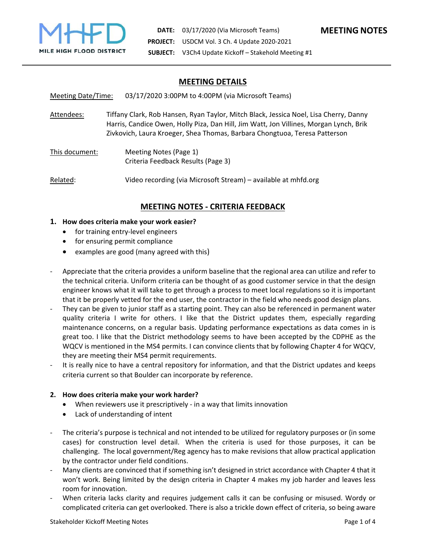

## **MEETING DETAILS**

Meeting Date/Time: 03/17/2020 3:00PM to 4:00PM (via Microsoft Teams)

Attendees: Tiffany Clark, Rob Hansen, Ryan Taylor, Mitch Black, Jessica Noel, Lisa Cherry, Danny Harris, Candice Owen, Holly Piza, Dan Hill, Jim Watt, Jon Villines, Morgan Lynch, Brik Zivkovich, Laura Kroeger, Shea Thomas, Barbara Chongtuoa, Teresa Patterson

This document: Meeting Notes (Page 1) Criteria Feedback Results (Page 3)

Related: Video recording (via Microsoft Stream) – available at mhfd.org

# **MEETING NOTES ‐ CRITERIA FEEDBACK**

- **1. How does criteria make your work easier?**
	- for training entry-level engineers
	- for ensuring permit compliance
	- examples are good (many agreed with this)
- ‐ Appreciate that the criteria provides a uniform baseline that the regional area can utilize and refer to the technical criteria. Uniform criteria can be thought of as good customer service in that the design engineer knows what it will take to get through a process to meet local regulations so it is important that it be properly vetted for the end user, the contractor in the field who needs good design plans.
- They can be given to junior staff as a starting point. They can also be referenced in permanent water quality criteria I write for others. I like that the District updates them, especially regarding maintenance concerns, on a regular basis. Updating performance expectations as data comes in is great too. I like that the District methodology seems to have been accepted by the CDPHE as the WQCV is mentioned in the MS4 permits. I can convince clients that by following Chapter 4 for WQCV, they are meeting their MS4 permit requirements.
- It is really nice to have a central repository for information, and that the District updates and keeps criteria current so that Boulder can incorporate by reference.

#### **2. How does criteria make your work harder?**

- When reviewers use it prescriptively ‐ in a way that limits innovation
- Lack of understanding of intent
- The criteria's purpose is technical and not intended to be utilized for regulatory purposes or (in some cases) for construction level detail. When the criteria is used for those purposes, it can be challenging. The local government/Reg agency has to make revisions that allow practical application by the contractor under field conditions.
- ‐ Many clients are convinced that if something isn't designed in strict accordance with Chapter 4 that it won't work. Being limited by the design criteria in Chapter 4 makes my job harder and leaves less room for innovation.
- When criteria lacks clarity and requires judgement calls it can be confusing or misused. Wordy or complicated criteria can get overlooked. There is also a trickle down effect of criteria, so being aware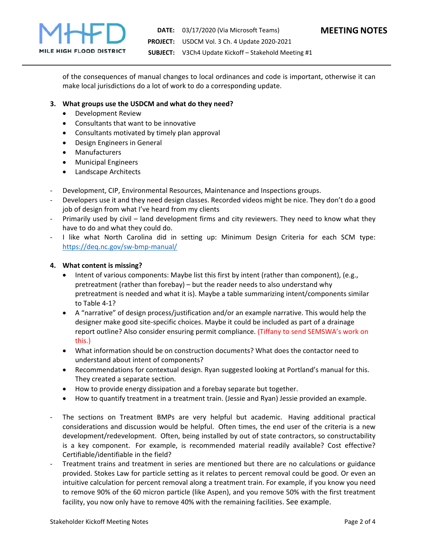

of the consequences of manual changes to local ordinances and code is important, otherwise it can make local jurisdictions do a lot of work to do a corresponding update.

### **3. What groups use the USDCM and what do they need?**

- Development Review
- Consultants that want to be innovative
- Consultants motivated by timely plan approval
- Design Engineers in General
- Manufacturers
- Municipal Engineers
- Landscape Architects
- ‐ Development, CIP, Environmental Resources, Maintenance and Inspections groups.
- ‐ Developers use it and they need design classes. Recorded videos might be nice. They don't do a good job of design from what I've heard from my clients
- ‐ Primarily used by civil land development firms and city reviewers. They need to know what they have to do and what they could do.
- I like what North Carolina did in setting up: Minimum Design Criteria for each SCM type: https://deq.nc.gov/sw-bmp-manual/

#### **4. What content is missing?**

- Intent of various components: Maybe list this first by intent (rather than component), (e.g., pretreatment (rather than forebay) – but the reader needs to also understand why pretreatment is needed and what it is). Maybe a table summarizing intent/components similar to Table 4‐1?
- A "narrative" of design process/justification and/or an example narrative. This would help the designer make good site‐specific choices. Maybe it could be included as part of a drainage report outline? Also consider ensuring permit compliance. (Tiffany to send SEMSWA's work on this.)
- What information should be on construction documents? What does the contactor need to understand about intent of components?
- Recommendations for contextual design. Ryan suggested looking at Portland's manual for this. They created a separate section.
- How to provide energy dissipation and a forebay separate but together.
- How to quantify treatment in a treatment train. (Jessie and Ryan) Jessie provided an example.
- The sections on Treatment BMPs are very helpful but academic. Having additional practical considerations and discussion would be helpful. Often times, the end user of the criteria is a new development/redevelopment. Often, being installed by out of state contractors, so constructability is a key component. For example, is recommended material readily available? Cost effective? Certifiable/identifiable in the field?
- ‐ Treatment trains and treatment in series are mentioned but there are no calculations or guidance provided. Stokes Law for particle setting as it relates to percent removal could be good. Or even an intuitive calculation for percent removal along a treatment train. For example, if you know you need to remove 90% of the 60 micron particle (like Aspen), and you remove 50% with the first treatment facility, you now only have to remove 40% with the remaining facilities. See example.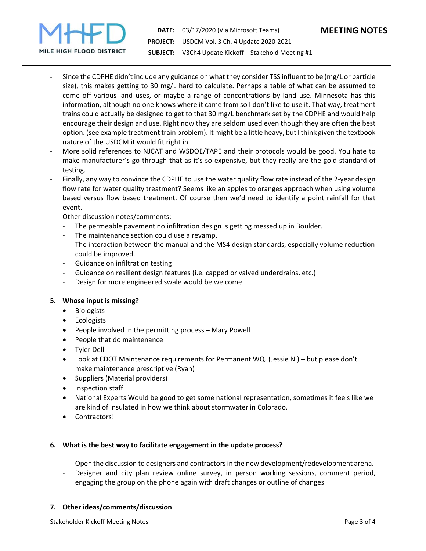

- Since the CDPHE didn't include any guidance on what they consider TSS influent to be (mg/L or particle size), this makes getting to 30 mg/L hard to calculate. Perhaps a table of what can be assumed to come off various land uses, or maybe a range of concentrations by land use. Minnesota has this information, although no one knows where it came from so I don't like to use it. That way, treatment trains could actually be designed to get to that 30 mg/L benchmark set by the CDPHE and would help encourage their design and use. Right now they are seldom used even though they are often the best option. (see example treatment train problem). It might be a little heavy, but I think given the textbook nature of the USDCM it would fit right in.
- ‐ More solid references to NJCAT and WSDOE/TAPE and their protocols would be good. You hate to make manufacturer's go through that as it's so expensive, but they really are the gold standard of testing.
- Finally, any way to convince the CDPHE to use the water quality flow rate instead of the 2-year design flow rate for water quality treatment? Seems like an apples to oranges approach when using volume based versus flow based treatment. Of course then we'd need to identify a point rainfall for that event.
- Other discussion notes/comments:
	- ‐ The permeable pavement no infiltration design is getting messed up in Boulder.
	- The maintenance section could use a revamp.
	- ‐ The interaction between the manual and the MS4 design standards, especially volume reduction could be improved.
	- ‐ Guidance on infiltration testing
	- ‐ Guidance on resilient design features (i.e. capped or valved underdrains, etc.)
	- ‐ Design for more engineered swale would be welcome

### **5. Whose input is missing?**

- Biologists
- Ecologists
- People involved in the permitting process Mary Powell
- People that do maintenance
- Tyler Dell
- Look at CDOT Maintenance requirements for Permanent WQ. (Jessie N.) but please don't make maintenance prescriptive (Ryan)
- Suppliers (Material providers)
- Inspection staff
- National Experts Would be good to get some national representation, sometimes it feels like we are kind of insulated in how we think about stormwater in Colorado.
- Contractors!

### **6. What is the best way to facilitate engagement in the update process?**

- ‐ Open the discussion to designers and contractors in the new development/redevelopment arena.
- Designer and city plan review online survey, in person working sessions, comment period, engaging the group on the phone again with draft changes or outline of changes

### **7. Other ideas/comments/discussion**